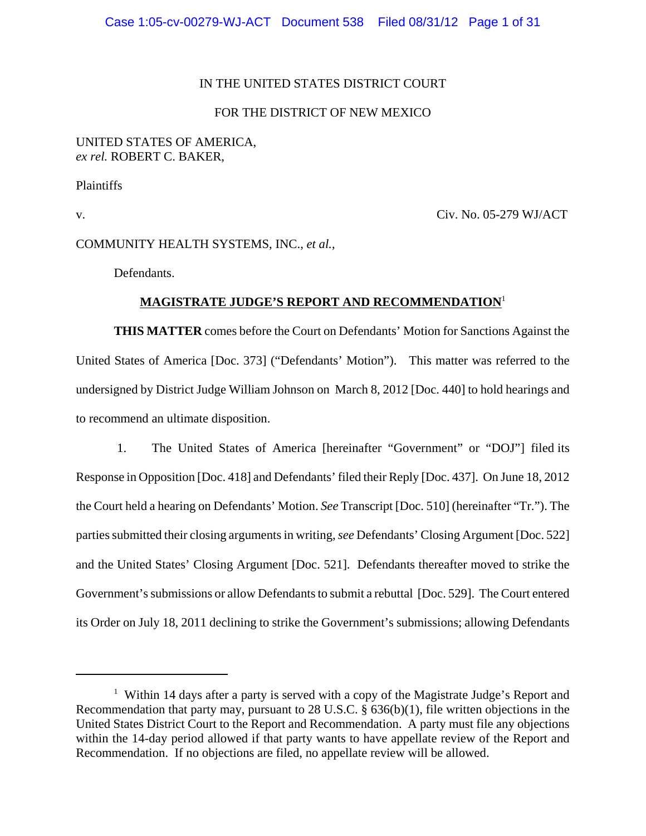# IN THE UNITED STATES DISTRICT COURT

# FOR THE DISTRICT OF NEW MEXICO

### UNITED STATES OF AMERICA, *ex rel.* ROBERT C. BAKER,

Plaintiffs

v. Civ. No. 05-279 WJ/ACT

COMMUNITY HEALTH SYSTEMS, INC., *et al.*,

Defendants.

# **MAGISTRATE JUDGE'S REPORT AND RECOMMENDATION**<sup>1</sup>

**THIS MATTER** comes before the Court on Defendants' Motion for Sanctions Against the United States of America [Doc. 373] ("Defendants' Motion"). This matter was referred to the undersigned by District Judge William Johnson on March 8, 2012 [Doc. 440] to hold hearings and to recommend an ultimate disposition.

 1. The United States of America [hereinafter "Government" or "DOJ"] filed its Response in Opposition [Doc. 418] and Defendants' filed their Reply [Doc. 437]. On June 18, 2012 the Court held a hearing on Defendants' Motion. *See* Transcript [Doc. 510] (hereinafter "Tr."). The parties submitted their closing arguments in writing, *see* Defendants' Closing Argument [Doc. 522] and the United States' Closing Argument [Doc. 521]. Defendants thereafter moved to strike the Government's submissions or allow Defendants to submit a rebuttal [Doc. 529]. The Court entered its Order on July 18, 2011 declining to strike the Government's submissions; allowing Defendants

<sup>&</sup>lt;sup>1</sup> Within 14 days after a party is served with a copy of the Magistrate Judge's Report and Recommendation that party may, pursuant to 28 U.S.C. § 636(b)(1), file written objections in the United States District Court to the Report and Recommendation. A party must file any objections within the 14-day period allowed if that party wants to have appellate review of the Report and Recommendation. If no objections are filed, no appellate review will be allowed.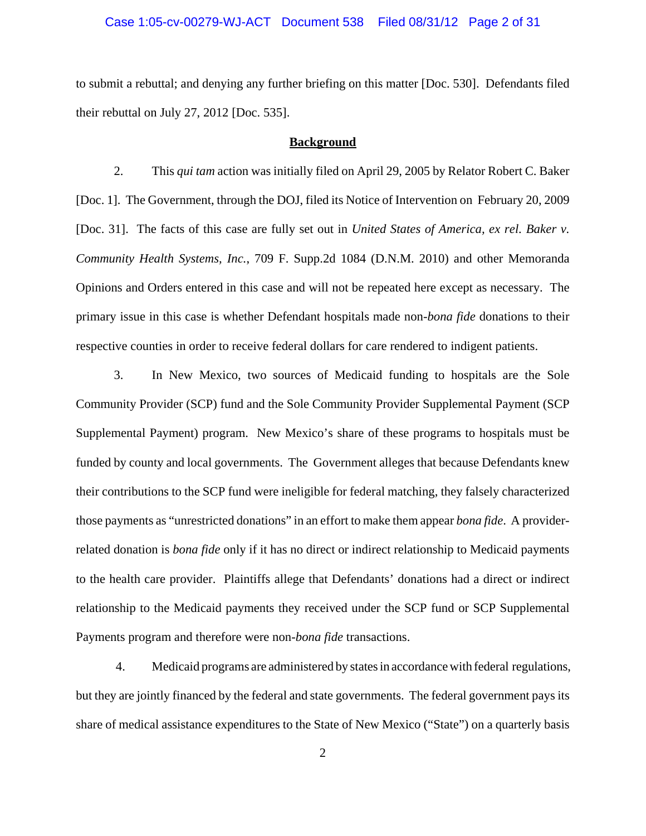#### Case 1:05-cv-00279-WJ-ACT Document 538 Filed 08/31/12 Page 2 of 31

to submit a rebuttal; and denying any further briefing on this matter [Doc. 530]. Defendants filed their rebuttal on July 27, 2012 [Doc. 535].

#### **Background**

2. This *qui tam* action was initially filed on April 29, 2005 by Relator Robert C. Baker [Doc. 1]. The Government, through the DOJ, filed its Notice of Intervention on February 20, 2009 [Doc. 31]. The facts of this case are fully set out in *United States of America, ex rel. Baker v. Community Health Systems, Inc.*, 709 F. Supp.2d 1084 (D.N.M. 2010) and other Memoranda Opinions and Orders entered in this case and will not be repeated here except as necessary. The primary issue in this case is whether Defendant hospitals made non-*bona fide* donations to their respective counties in order to receive federal dollars for care rendered to indigent patients.

3. In New Mexico, two sources of Medicaid funding to hospitals are the Sole Community Provider (SCP) fund and the Sole Community Provider Supplemental Payment (SCP Supplemental Payment) program. New Mexico's share of these programs to hospitals must be funded by county and local governments. The Government alleges that because Defendants knew their contributions to the SCP fund were ineligible for federal matching, they falsely characterized those payments as "unrestricted donations" in an effort to make them appear *bona fide*. A providerrelated donation is *bona fide* only if it has no direct or indirect relationship to Medicaid payments to the health care provider. Plaintiffs allege that Defendants' donations had a direct or indirect relationship to the Medicaid payments they received under the SCP fund or SCP Supplemental Payments program and therefore were non-*bona fide* transactions.

 4. Medicaid programs are administered by states in accordance with federal regulations, but they are jointly financed by the federal and state governments. The federal government pays its share of medical assistance expenditures to the State of New Mexico ("State") on a quarterly basis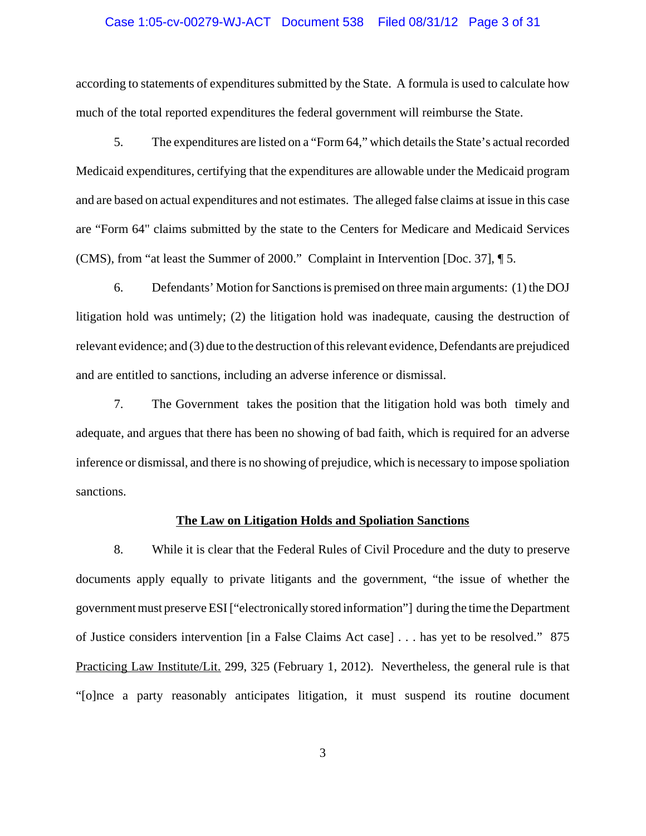#### Case 1:05-cv-00279-WJ-ACT Document 538 Filed 08/31/12 Page 3 of 31

according to statements of expenditures submitted by the State. A formula is used to calculate how much of the total reported expenditures the federal government will reimburse the State.

5. The expenditures are listed on a "Form 64," which details the State's actual recorded Medicaid expenditures, certifying that the expenditures are allowable under the Medicaid program and are based on actual expenditures and not estimates. The alleged false claims at issue in this case are "Form 64" claims submitted by the state to the Centers for Medicare and Medicaid Services (CMS), from "at least the Summer of 2000." Complaint in Intervention [Doc. 37], ¶ 5.

6. Defendants' Motion for Sanctions is premised on three main arguments: (1) the DOJ litigation hold was untimely; (2) the litigation hold was inadequate, causing the destruction of relevant evidence; and (3) due to the destruction of this relevant evidence, Defendants are prejudiced and are entitled to sanctions, including an adverse inference or dismissal.

7. The Government takes the position that the litigation hold was both timely and adequate, and argues that there has been no showing of bad faith, which is required for an adverse inference or dismissal, and there is no showing of prejudice, which is necessary to impose spoliation sanctions.

#### **The Law on Litigation Holds and Spoliation Sanctions**

8. While it is clear that the Federal Rules of Civil Procedure and the duty to preserve documents apply equally to private litigants and the government, "the issue of whether the government must preserve ESI ["electronically stored information"] during the time the Department of Justice considers intervention [in a False Claims Act case] . . . has yet to be resolved." 875 Practicing Law Institute/Lit. 299, 325 (February 1, 2012). Nevertheless, the general rule is that "[o]nce a party reasonably anticipates litigation, it must suspend its routine document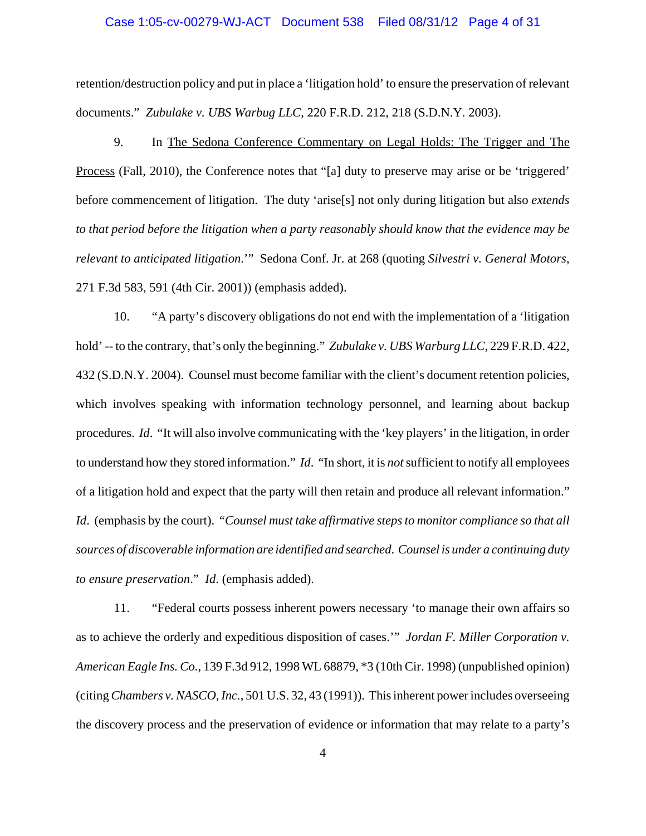#### Case 1:05-cv-00279-WJ-ACT Document 538 Filed 08/31/12 Page 4 of 31

retention/destruction policy and put in place a 'litigation hold' to ensure the preservation of relevant documents." *Zubulake v. UBS Warbug LLC*, 220 F.R.D. 212, 218 (S.D.N.Y. 2003).

9. In The Sedona Conference Commentary on Legal Holds: The Trigger and The Process (Fall, 2010), the Conference notes that "[a] duty to preserve may arise or be 'triggered' before commencement of litigation. The duty 'arise[s] not only during litigation but also *extends to that period before the litigation when a party reasonably should know that the evidence may be relevant to anticipated litigation*.'" Sedona Conf. Jr. at 268 (quoting *Silvestri v. General Motors*, 271 F.3d 583, 591 (4th Cir. 2001)) (emphasis added).

10. "A party's discovery obligations do not end with the implementation of a 'litigation hold' -- to the contrary, that's only the beginning." *Zubulake v. UBS Warburg LLC*, 229 F.R.D. 422, 432 (S.D.N.Y. 2004). Counsel must become familiar with the client's document retention policies, which involves speaking with information technology personnel, and learning about backup procedures. *Id*. "It will also involve communicating with the 'key players' in the litigation, in order to understand how they stored information." *Id*. "In short, it is *not* sufficient to notify all employees of a litigation hold and expect that the party will then retain and produce all relevant information." *Id*. (emphasis by the court). "*Counsel must take affirmative steps to monitor compliance so that all sources of discoverable information are identified and searched*. *Counsel is under a continuing duty to ensure preservation*." *Id*. (emphasis added).

11. "Federal courts possess inherent powers necessary 'to manage their own affairs so as to achieve the orderly and expeditious disposition of cases.'" *Jordan F. Miller Corporation v. American Eagle Ins. Co.*, 139 F.3d 912, 1998 WL 68879, \*3 (10th Cir. 1998) (unpublished opinion) (citing *Chambers v. NASCO, Inc.*, 501 U.S. 32, 43 (1991)). This inherent power includes overseeing the discovery process and the preservation of evidence or information that may relate to a party's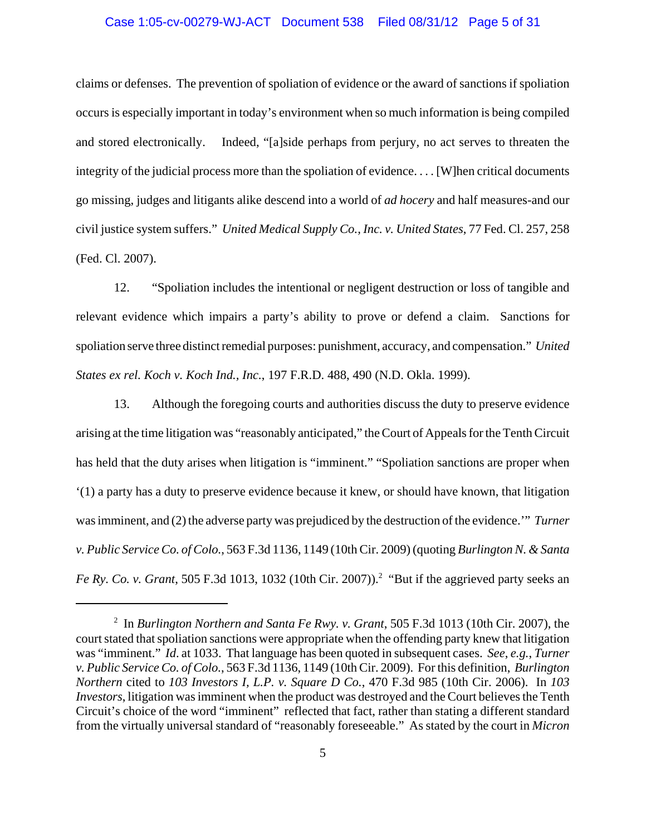#### Case 1:05-cv-00279-WJ-ACT Document 538 Filed 08/31/12 Page 5 of 31

claims or defenses. The prevention of spoliation of evidence or the award of sanctions if spoliation occurs is especially important in today's environment when so much information is being compiled and stored electronically. Indeed, "[a]side perhaps from perjury, no act serves to threaten the integrity of the judicial process more than the spoliation of evidence. . . . [W]hen critical documents go missing, judges and litigants alike descend into a world of *ad hocery* and half measures-and our civil justice system suffers." *United Medical Supply Co., Inc. v. United States*, 77 Fed. Cl. 257, 258 (Fed. Cl. 2007).

12. "Spoliation includes the intentional or negligent destruction or loss of tangible and relevant evidence which impairs a party's ability to prove or defend a claim. Sanctions for spoliation serve three distinct remedial purposes: punishment, accuracy, and compensation." *United States ex rel. Koch v. Koch Ind., Inc.*, 197 F.R.D. 488, 490 (N.D. Okla. 1999).

13. Although the foregoing courts and authorities discuss the duty to preserve evidence arising at the time litigation was "reasonably anticipated," the Court of Appeals for the Tenth Circuit has held that the duty arises when litigation is "imminent." "Spoliation sanctions are proper when '(1) a party has a duty to preserve evidence because it knew, or should have known, that litigation was imminent, and (2) the adverse party was prejudiced by the destruction of the evidence.'" *Turner v. Public Service Co. of Colo.*, 563 F.3d 1136, 1149 (10th Cir. 2009) (quoting *Burlington N. & Santa* Fe Ry. Co. v. Grant, 505 F.3d 1013, 1032 (10th Cir. 2007)).<sup>2</sup> "But if the aggrieved party seeks an

<sup>2</sup> In *Burlington Northern and Santa Fe Rwy. v. Grant*, 505 F.3d 1013 (10th Cir. 2007), the court stated that spoliation sanctions were appropriate when the offending party knew that litigation was "imminent." *Id*. at 1033. That language has been quoted in subsequent cases. *See*, *e.g.*, *Turner v. Public Service Co. of Colo.*, 563 F.3d 1136, 1149 (10th Cir. 2009). For this definition, *Burlington Northern* cited to *103 Investors I, L.P. v. Square D Co.*, 470 F.3d 985 (10th Cir. 2006). In *103 Investors*, litigation was imminent when the product was destroyed and the Court believes the Tenth Circuit's choice of the word "imminent" reflected that fact, rather than stating a different standard from the virtually universal standard of "reasonably foreseeable." As stated by the court in *Micron*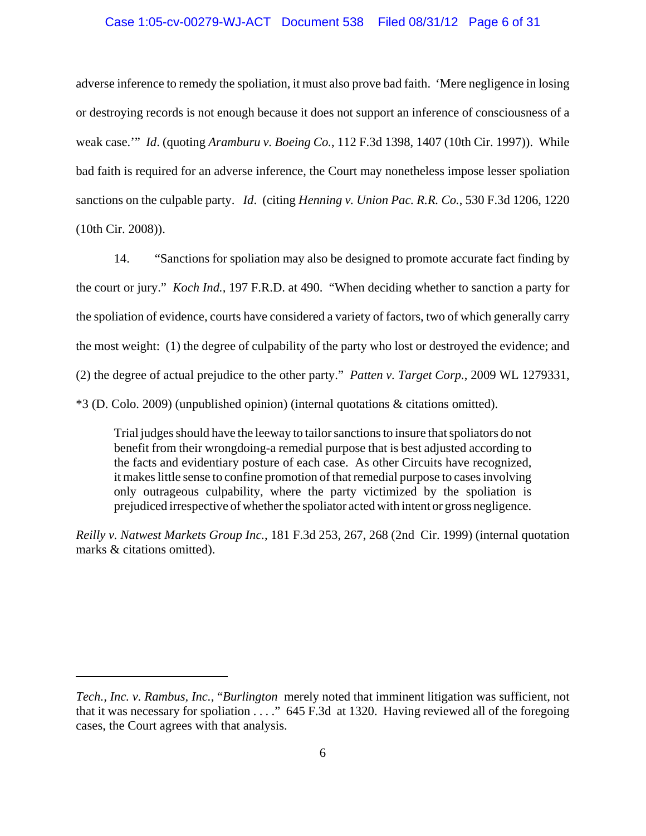### Case 1:05-cv-00279-WJ-ACT Document 538 Filed 08/31/12 Page 6 of 31

adverse inference to remedy the spoliation, it must also prove bad faith. 'Mere negligence in losing or destroying records is not enough because it does not support an inference of consciousness of a weak case.'" *Id*. (quoting *Aramburu v. Boeing Co.*, 112 F.3d 1398, 1407 (10th Cir. 1997)). While bad faith is required for an adverse inference, the Court may nonetheless impose lesser spoliation sanctions on the culpable party. *Id*. (citing *Henning v. Union Pac. R.R. Co.*, 530 F.3d 1206, 1220 (10th Cir. 2008)).

14. "Sanctions for spoliation may also be designed to promote accurate fact finding by the court or jury." *Koch Ind.,* 197 F.R.D. at 490. "When deciding whether to sanction a party for the spoliation of evidence, courts have considered a variety of factors, two of which generally carry the most weight: (1) the degree of culpability of the party who lost or destroyed the evidence; and (2) the degree of actual prejudice to the other party." *Patten v. Target Corp.*, 2009 WL 1279331, \*3 (D. Colo. 2009) (unpublished opinion) (internal quotations & citations omitted).

Trial judges should have the leeway to tailor sanctions to insure that spoliators do not benefit from their wrongdoing-a remedial purpose that is best adjusted according to the facts and evidentiary posture of each case. As other Circuits have recognized, it makes little sense to confine promotion of that remedial purpose to cases involving only outrageous culpability, where the party victimized by the spoliation is prejudiced irrespective of whether the spoliator acted with intent or gross negligence.

*Reilly v. Natwest Markets Group Inc.*, 181 F.3d 253, 267, 268 (2nd Cir. 1999) (internal quotation marks & citations omitted).

*Tech., Inc. v. Rambus, Inc.*, "*Burlington* merely noted that imminent litigation was sufficient, not that it was necessary for spoliation . . . ." 645 F.3d at 1320. Having reviewed all of the foregoing cases, the Court agrees with that analysis.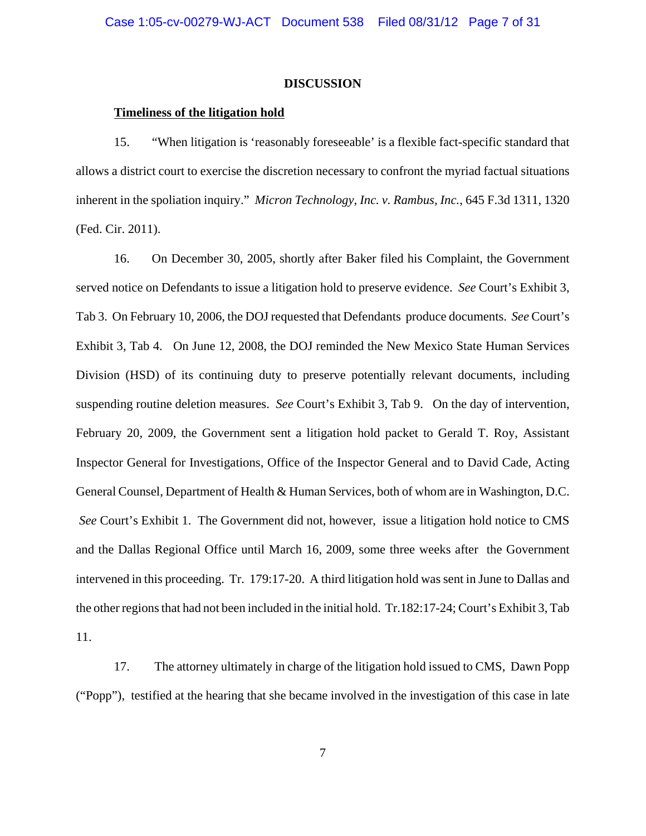#### **DISCUSSION**

#### **Timeliness of the litigation hold**

15. "When litigation is 'reasonably foreseeable' is a flexible fact-specific standard that allows a district court to exercise the discretion necessary to confront the myriad factual situations inherent in the spoliation inquiry." *Micron Technology, Inc. v. Rambus, Inc.*, 645 F.3d 1311, 1320 (Fed. Cir. 2011).

16. On December 30, 2005, shortly after Baker filed his Complaint, the Government served notice on Defendants to issue a litigation hold to preserve evidence. *See* Court's Exhibit 3, Tab 3. On February 10, 2006, the DOJ requested that Defendants produce documents. *See* Court's Exhibit 3, Tab 4. On June 12, 2008, the DOJ reminded the New Mexico State Human Services Division (HSD) of its continuing duty to preserve potentially relevant documents, including suspending routine deletion measures. *See* Court's Exhibit 3, Tab 9. On the day of intervention, February 20, 2009, the Government sent a litigation hold packet to Gerald T. Roy, Assistant Inspector General for Investigations, Office of the Inspector General and to David Cade, Acting General Counsel, Department of Health & Human Services, both of whom are in Washington, D.C. *See* Court's Exhibit 1. The Government did not, however, issue a litigation hold notice to CMS and the Dallas Regional Office until March 16, 2009, some three weeks after the Government intervened in this proceeding. Tr. 179:17-20. A third litigation hold was sent in June to Dallas and the other regions that had not been included in the initial hold. Tr.182:17-24; Court's Exhibit 3, Tab 11.

17. The attorney ultimately in charge of the litigation hold issued to CMS, Dawn Popp ("Popp"), testified at the hearing that she became involved in the investigation of this case in late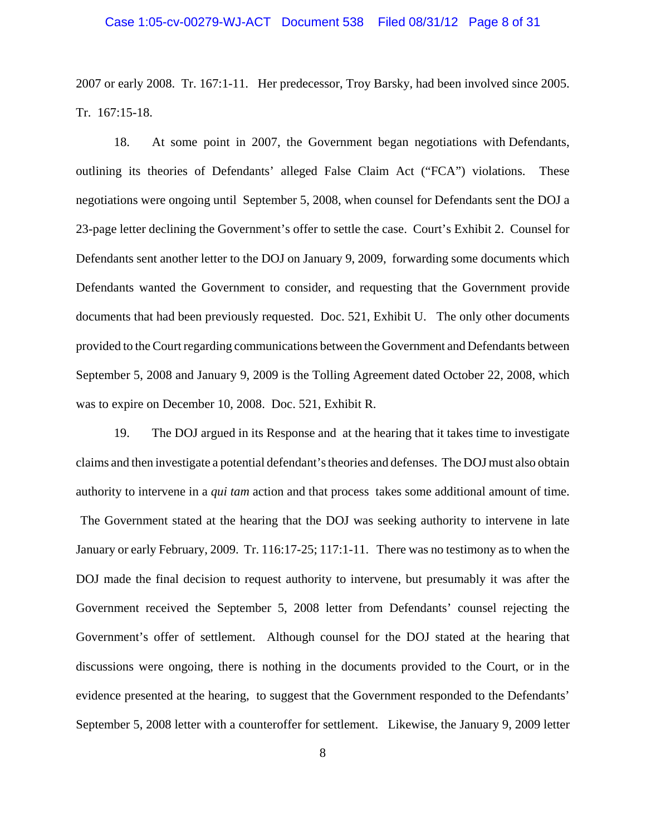#### Case 1:05-cv-00279-WJ-ACT Document 538 Filed 08/31/12 Page 8 of 31

2007 or early 2008. Tr. 167:1-11. Her predecessor, Troy Barsky, had been involved since 2005. Tr. 167:15-18.

 18. At some point in 2007, the Government began negotiations with Defendants, outlining its theories of Defendants' alleged False Claim Act ("FCA") violations. These negotiations were ongoing until September 5, 2008, when counsel for Defendants sent the DOJ a 23-page letter declining the Government's offer to settle the case. Court's Exhibit 2. Counsel for Defendants sent another letter to the DOJ on January 9, 2009, forwarding some documents which Defendants wanted the Government to consider, and requesting that the Government provide documents that had been previously requested. Doc. 521, Exhibit U. The only other documents provided to the Court regarding communications between the Government and Defendants between September 5, 2008 and January 9, 2009 is the Tolling Agreement dated October 22, 2008, which was to expire on December 10, 2008. Doc. 521, Exhibit R.

19. The DOJ argued in its Response and at the hearing that it takes time to investigate claims and then investigate a potential defendant's theories and defenses. The DOJ must also obtain authority to intervene in a *qui tam* action and that process takes some additional amount of time. The Government stated at the hearing that the DOJ was seeking authority to intervene in late January or early February, 2009. Tr. 116:17-25; 117:1-11. There was no testimony as to when the DOJ made the final decision to request authority to intervene, but presumably it was after the Government received the September 5, 2008 letter from Defendants' counsel rejecting the Government's offer of settlement. Although counsel for the DOJ stated at the hearing that discussions were ongoing, there is nothing in the documents provided to the Court, or in the evidence presented at the hearing, to suggest that the Government responded to the Defendants' September 5, 2008 letter with a counteroffer for settlement. Likewise, the January 9, 2009 letter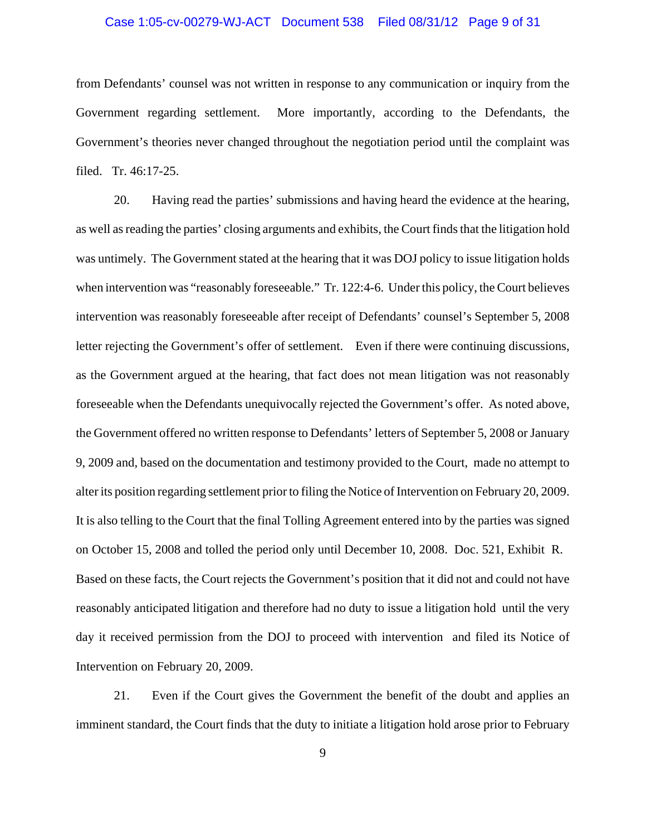#### Case 1:05-cv-00279-WJ-ACT Document 538 Filed 08/31/12 Page 9 of 31

from Defendants' counsel was not written in response to any communication or inquiry from the Government regarding settlement. More importantly, according to the Defendants, the Government's theories never changed throughout the negotiation period until the complaint was filed. Tr. 46:17-25.

20. Having read the parties' submissions and having heard the evidence at the hearing, as well as reading the parties' closing arguments and exhibits, the Court finds that the litigation hold was untimely. The Government stated at the hearing that it was DOJ policy to issue litigation holds when intervention was "reasonably foreseeable." Tr. 122:4-6. Under this policy, the Court believes intervention was reasonably foreseeable after receipt of Defendants' counsel's September 5, 2008 letter rejecting the Government's offer of settlement. Even if there were continuing discussions, as the Government argued at the hearing, that fact does not mean litigation was not reasonably foreseeable when the Defendants unequivocally rejected the Government's offer. As noted above, the Government offered no written response to Defendants' letters of September 5, 2008 or January 9, 2009 and, based on the documentation and testimony provided to the Court, made no attempt to alter its position regarding settlement prior to filing the Notice of Intervention on February 20, 2009. It is also telling to the Court that the final Tolling Agreement entered into by the parties was signed on October 15, 2008 and tolled the period only until December 10, 2008. Doc. 521, Exhibit R. Based on these facts, the Court rejects the Government's position that it did not and could not have reasonably anticipated litigation and therefore had no duty to issue a litigation hold until the very day it received permission from the DOJ to proceed with intervention and filed its Notice of Intervention on February 20, 2009.

21. Even if the Court gives the Government the benefit of the doubt and applies an imminent standard, the Court finds that the duty to initiate a litigation hold arose prior to February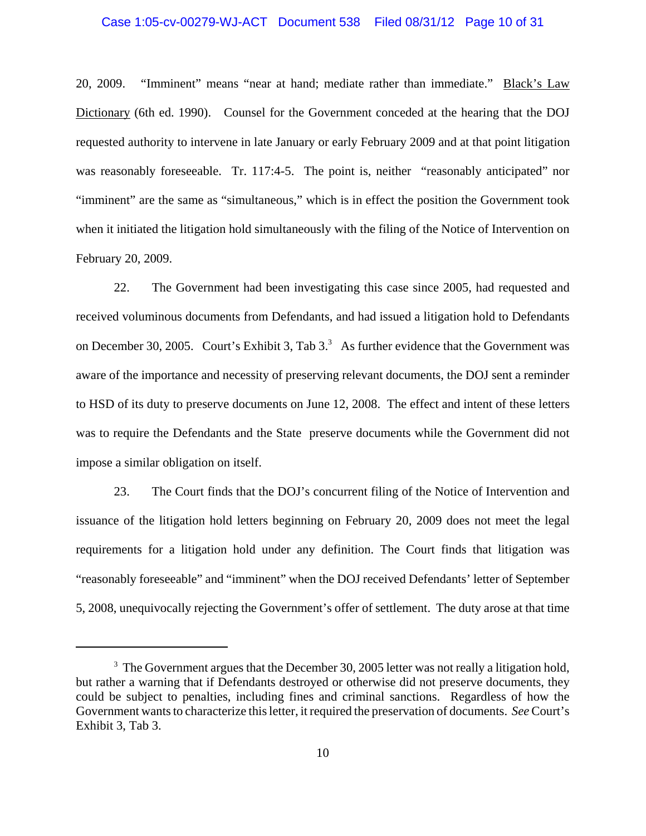#### Case 1:05-cv-00279-WJ-ACT Document 538 Filed 08/31/12 Page 10 of 31

20, 2009. "Imminent" means "near at hand; mediate rather than immediate." Black's Law Dictionary (6th ed. 1990). Counsel for the Government conceded at the hearing that the DOJ requested authority to intervene in late January or early February 2009 and at that point litigation was reasonably foreseeable. Tr. 117:4-5. The point is, neither "reasonably anticipated" nor "imminent" are the same as "simultaneous," which is in effect the position the Government took when it initiated the litigation hold simultaneously with the filing of the Notice of Intervention on February 20, 2009.

22. The Government had been investigating this case since 2005, had requested and received voluminous documents from Defendants, and had issued a litigation hold to Defendants on December 30, 2005. Court's Exhibit 3, Tab  $3<sup>3</sup>$  As further evidence that the Government was aware of the importance and necessity of preserving relevant documents, the DOJ sent a reminder to HSD of its duty to preserve documents on June 12, 2008. The effect and intent of these letters was to require the Defendants and the State preserve documents while the Government did not impose a similar obligation on itself.

23. The Court finds that the DOJ's concurrent filing of the Notice of Intervention and issuance of the litigation hold letters beginning on February 20, 2009 does not meet the legal requirements for a litigation hold under any definition. The Court finds that litigation was "reasonably foreseeable" and "imminent" when the DOJ received Defendants' letter of September 5, 2008, unequivocally rejecting the Government's offer of settlement. The duty arose at that time

 $3$  The Government argues that the December 30, 2005 letter was not really a litigation hold, but rather a warning that if Defendants destroyed or otherwise did not preserve documents, they could be subject to penalties, including fines and criminal sanctions. Regardless of how the Government wants to characterize this letter, it required the preservation of documents. *See* Court's Exhibit 3, Tab 3.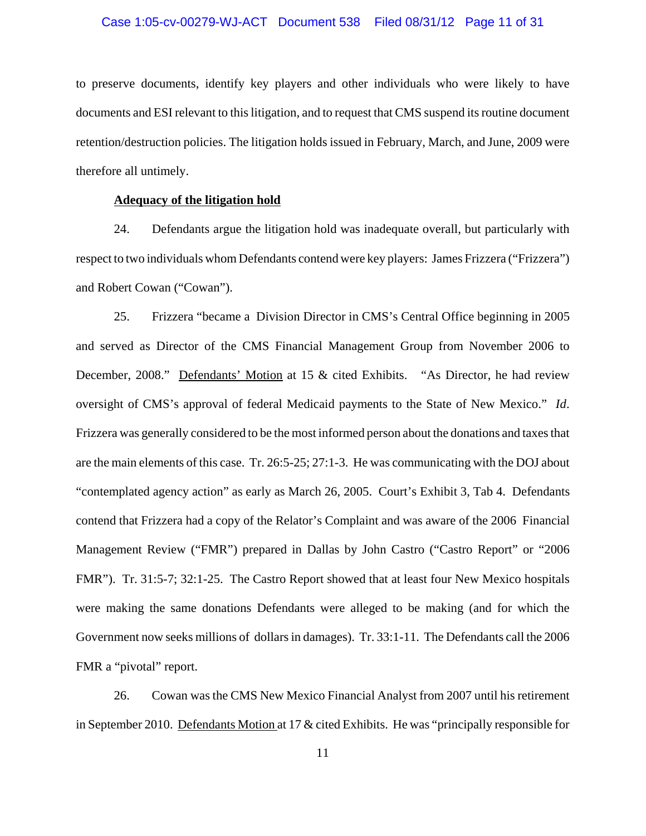#### Case 1:05-cv-00279-WJ-ACT Document 538 Filed 08/31/12 Page 11 of 31

to preserve documents, identify key players and other individuals who were likely to have documents and ESI relevant to this litigation, and to request that CMS suspend its routine document retention/destruction policies. The litigation holds issued in February, March, and June, 2009 were therefore all untimely.

#### **Adequacy of the litigation hold**

24. Defendants argue the litigation hold was inadequate overall, but particularly with respect to two individuals whom Defendants contend were key players: James Frizzera ("Frizzera") and Robert Cowan ("Cowan").

25. Frizzera "became a Division Director in CMS's Central Office beginning in 2005 and served as Director of the CMS Financial Management Group from November 2006 to December, 2008." Defendants' Motion at 15 & cited Exhibits. "As Director, he had review oversight of CMS's approval of federal Medicaid payments to the State of New Mexico." *Id*. Frizzera was generally considered to be the most informed person about the donations and taxes that are the main elements of this case. Tr. 26:5-25; 27:1-3. He was communicating with the DOJ about "contemplated agency action" as early as March 26, 2005. Court's Exhibit 3, Tab 4. Defendants contend that Frizzera had a copy of the Relator's Complaint and was aware of the 2006 Financial Management Review ("FMR") prepared in Dallas by John Castro ("Castro Report" or "2006 FMR"). Tr. 31:5-7; 32:1-25. The Castro Report showed that at least four New Mexico hospitals were making the same donations Defendants were alleged to be making (and for which the Government now seeks millions of dollars in damages). Tr. 33:1-11. The Defendants call the 2006 FMR a "pivotal" report.

26. Cowan was the CMS New Mexico Financial Analyst from 2007 until his retirement in September 2010. Defendants Motion at 17 & cited Exhibits. He was "principally responsible for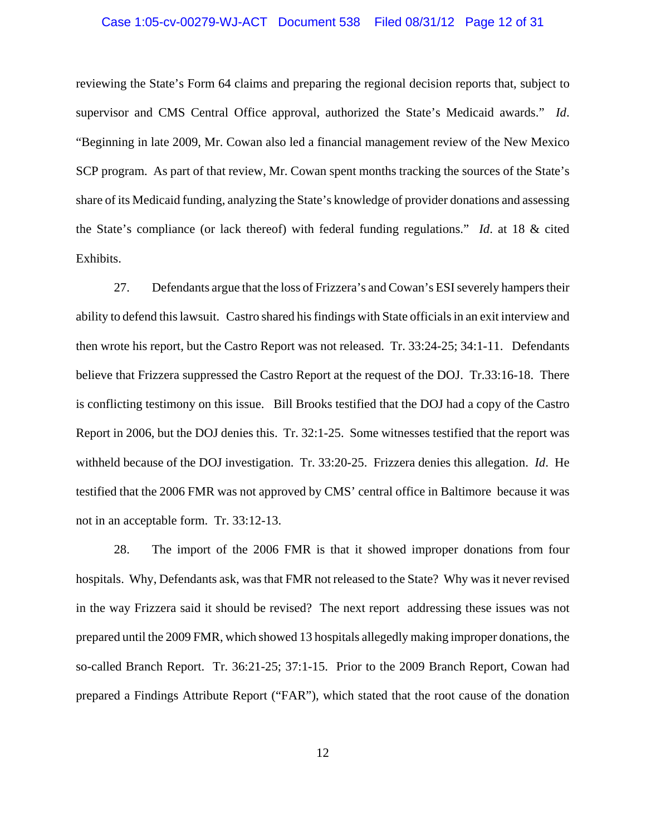#### Case 1:05-cv-00279-WJ-ACT Document 538 Filed 08/31/12 Page 12 of 31

reviewing the State's Form 64 claims and preparing the regional decision reports that, subject to supervisor and CMS Central Office approval, authorized the State's Medicaid awards." *Id*. "Beginning in late 2009, Mr. Cowan also led a financial management review of the New Mexico SCP program. As part of that review, Mr. Cowan spent months tracking the sources of the State's share of its Medicaid funding, analyzing the State's knowledge of provider donations and assessing the State's compliance (or lack thereof) with federal funding regulations." *Id*. at 18 & cited Exhibits.

27. Defendants argue that the loss of Frizzera's and Cowan's ESI severely hampers their ability to defend this lawsuit. Castro shared his findings with State officials in an exit interview and then wrote his report, but the Castro Report was not released. Tr. 33:24-25; 34:1-11. Defendants believe that Frizzera suppressed the Castro Report at the request of the DOJ. Tr.33:16-18. There is conflicting testimony on this issue. Bill Brooks testified that the DOJ had a copy of the Castro Report in 2006, but the DOJ denies this. Tr. 32:1-25. Some witnesses testified that the report was withheld because of the DOJ investigation. Tr. 33:20-25. Frizzera denies this allegation. *Id*. He testified that the 2006 FMR was not approved by CMS' central office in Baltimore because it was not in an acceptable form. Tr. 33:12-13.

28. The import of the 2006 FMR is that it showed improper donations from four hospitals. Why, Defendants ask, was that FMR not released to the State? Why was it never revised in the way Frizzera said it should be revised? The next report addressing these issues was not prepared until the 2009 FMR, which showed 13 hospitals allegedly making improper donations, the so-called Branch Report. Tr. 36:21-25; 37:1-15. Prior to the 2009 Branch Report, Cowan had prepared a Findings Attribute Report ("FAR"), which stated that the root cause of the donation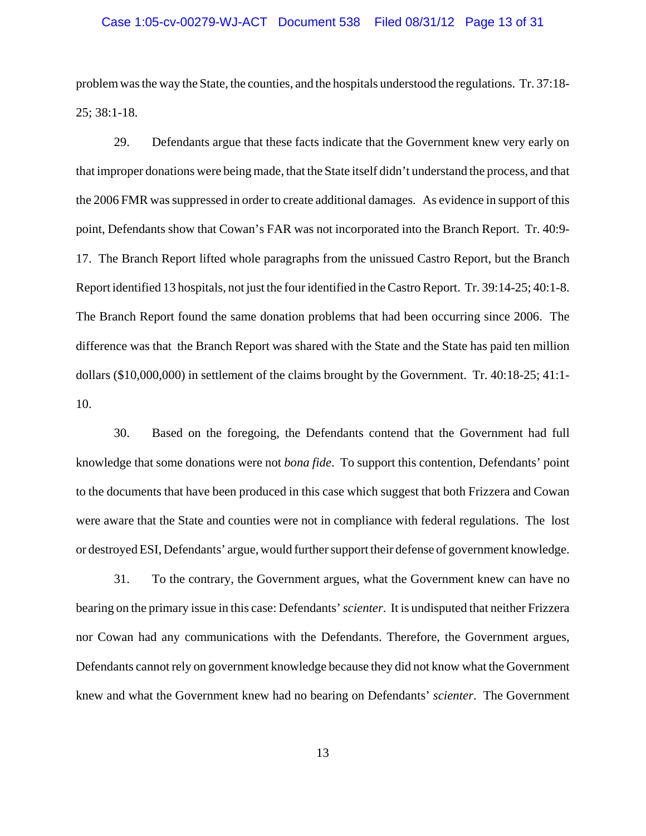#### Case 1:05-cv-00279-WJ-ACT Document 538 Filed 08/31/12 Page 13 of 31

problem was the way the State, the counties, and the hospitals understood the regulations. Tr. 37:18- 25; 38:1-18.

29. Defendants argue that these facts indicate that the Government knew very early on that improper donations were being made, that the State itself didn't understand the process, and that the 2006 FMR was suppressed in order to create additional damages. As evidence in support of this point, Defendants show that Cowan's FAR was not incorporated into the Branch Report. Tr. 40:9- 17. The Branch Report lifted whole paragraphs from the unissued Castro Report, but the Branch Report identified 13 hospitals, not just the four identified in the Castro Report. Tr. 39:14-25; 40:1-8. The Branch Report found the same donation problems that had been occurring since 2006. The difference was that the Branch Report was shared with the State and the State has paid ten million dollars (\$10,000,000) in settlement of the claims brought by the Government. Tr. 40:18-25; 41:1- 10.

30. Based on the foregoing, the Defendants contend that the Government had full knowledge that some donations were not *bona fide*. To support this contention, Defendants' point to the documents that have been produced in this case which suggest that both Frizzera and Cowan were aware that the State and counties were not in compliance with federal regulations. The lost or destroyed ESI, Defendants' argue, would further support their defense of government knowledge.

31. To the contrary, the Government argues, what the Government knew can have no bearing on the primary issue in this case: Defendants' *scienter*. It is undisputed that neither Frizzera nor Cowan had any communications with the Defendants. Therefore, the Government argues, Defendants cannot rely on government knowledge because they did not know what the Government knew and what the Government knew had no bearing on Defendants' *scienter*. The Government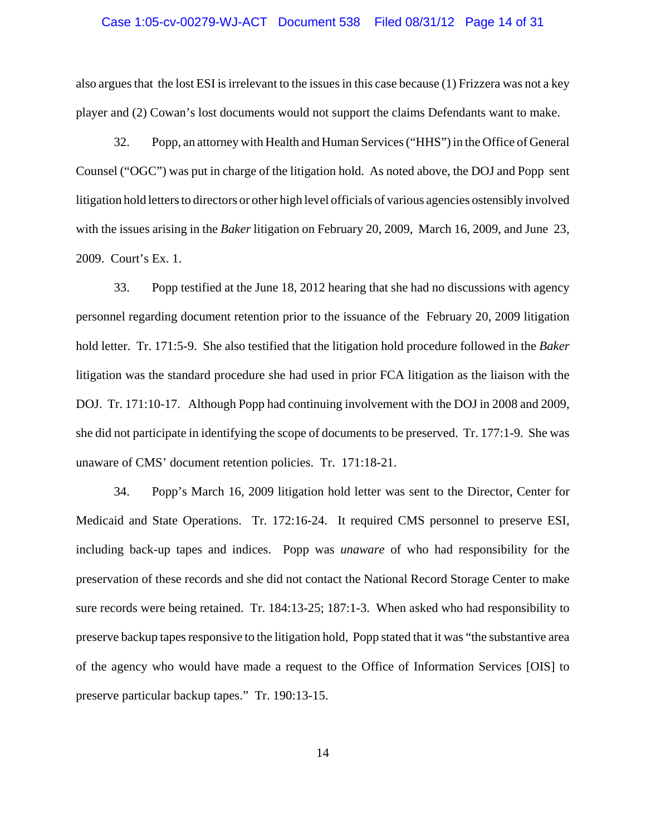#### Case 1:05-cv-00279-WJ-ACT Document 538 Filed 08/31/12 Page 14 of 31

also argues that the lost ESI is irrelevant to the issues in this case because (1) Frizzera was not a key player and (2) Cowan's lost documents would not support the claims Defendants want to make.

32. Popp, an attorney with Health and Human Services ("HHS") in the Office of General Counsel ("OGC") was put in charge of the litigation hold. As noted above, the DOJ and Popp sent litigation hold letters to directors or other high level officials of various agencies ostensibly involved with the issues arising in the *Baker* litigation on February 20, 2009, March 16, 2009, and June 23, 2009. Court's Ex. 1.

33. Popp testified at the June 18, 2012 hearing that she had no discussions with agency personnel regarding document retention prior to the issuance of the February 20, 2009 litigation hold letter. Tr. 171:5-9. She also testified that the litigation hold procedure followed in the *Baker* litigation was the standard procedure she had used in prior FCA litigation as the liaison with the DOJ. Tr. 171:10-17. Although Popp had continuing involvement with the DOJ in 2008 and 2009, she did not participate in identifying the scope of documents to be preserved. Tr. 177:1-9. She was unaware of CMS' document retention policies. Tr. 171:18-21.

34. Popp's March 16, 2009 litigation hold letter was sent to the Director, Center for Medicaid and State Operations. Tr. 172:16-24. It required CMS personnel to preserve ESI, including back-up tapes and indices. Popp was *unaware* of who had responsibility for the preservation of these records and she did not contact the National Record Storage Center to make sure records were being retained. Tr. 184:13-25; 187:1-3. When asked who had responsibility to preserve backup tapes responsive to the litigation hold, Popp stated that it was "the substantive area of the agency who would have made a request to the Office of Information Services [OIS] to preserve particular backup tapes." Tr. 190:13-15.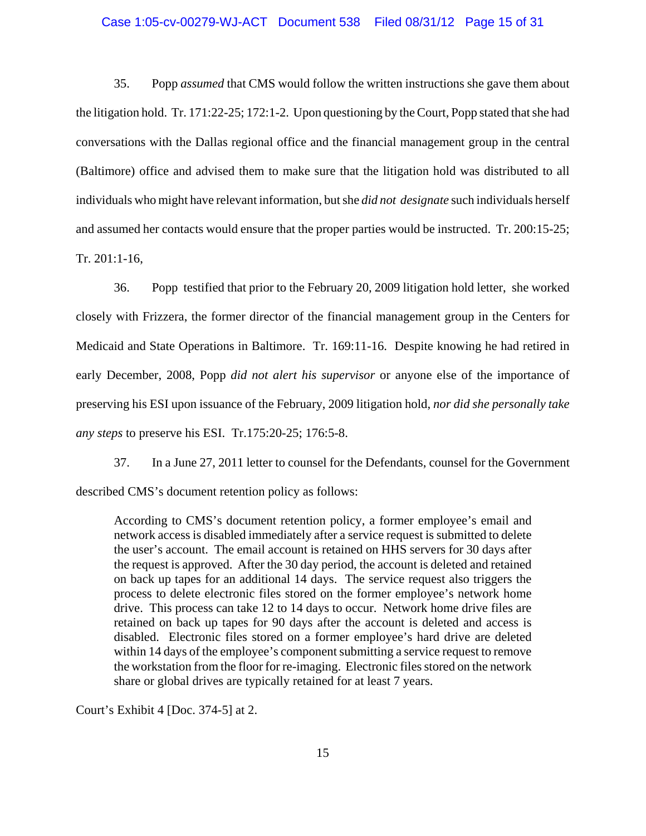#### Case 1:05-cv-00279-WJ-ACT Document 538 Filed 08/31/12 Page 15 of 31

35. Popp *assumed* that CMS would follow the written instructions she gave them about the litigation hold. Tr. 171:22-25; 172:1-2. Upon questioning by the Court, Popp stated that she had conversations with the Dallas regional office and the financial management group in the central (Baltimore) office and advised them to make sure that the litigation hold was distributed to all individuals who might have relevant information, but she *did not designate* such individuals herself and assumed her contacts would ensure that the proper parties would be instructed. Tr. 200:15-25; Tr. 201:1-16,

36. Popp testified that prior to the February 20, 2009 litigation hold letter, she worked closely with Frizzera, the former director of the financial management group in the Centers for Medicaid and State Operations in Baltimore. Tr. 169:11-16. Despite knowing he had retired in early December, 2008, Popp *did not alert his supervisor* or anyone else of the importance of preserving his ESI upon issuance of the February, 2009 litigation hold, *nor did she personally take any steps* to preserve his ESI. Tr.175:20-25; 176:5-8.

37. In a June 27, 2011 letter to counsel for the Defendants, counsel for the Government described CMS's document retention policy as follows:

According to CMS's document retention policy, a former employee's email and network access is disabled immediately after a service request is submitted to delete the user's account. The email account is retained on HHS servers for 30 days after the request is approved. After the 30 day period, the account is deleted and retained on back up tapes for an additional 14 days. The service request also triggers the process to delete electronic files stored on the former employee's network home drive. This process can take 12 to 14 days to occur. Network home drive files are retained on back up tapes for 90 days after the account is deleted and access is disabled. Electronic files stored on a former employee's hard drive are deleted within 14 days of the employee's component submitting a service request to remove the workstation from the floor for re-imaging. Electronic files stored on the network share or global drives are typically retained for at least 7 years.

Court's Exhibit 4 [Doc. 374-5] at 2.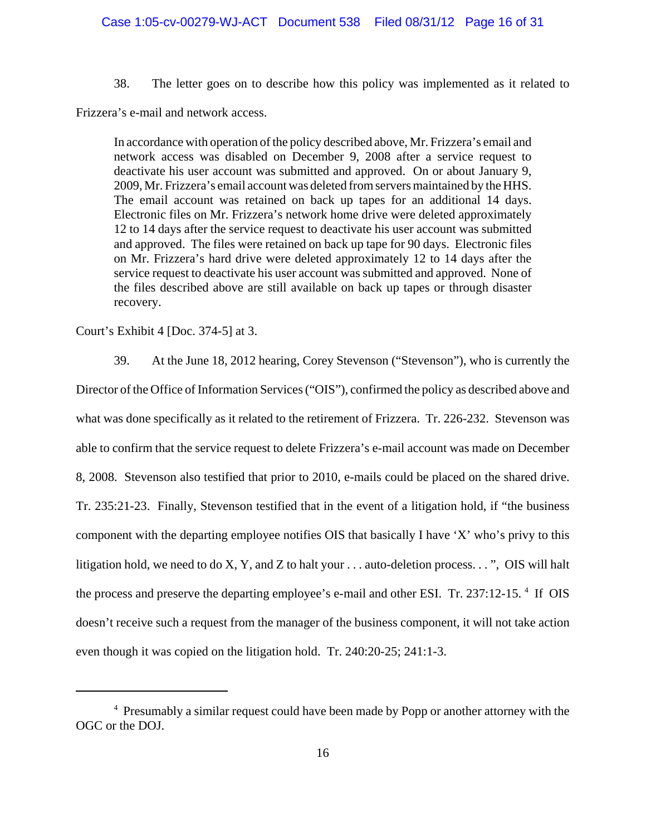38. The letter goes on to describe how this policy was implemented as it related to

Frizzera's e-mail and network access.

In accordance with operation of the policy described above, Mr. Frizzera's email and network access was disabled on December 9, 2008 after a service request to deactivate his user account was submitted and approved. On or about January 9, 2009, Mr. Frizzera's email account was deleted from servers maintained by the HHS. The email account was retained on back up tapes for an additional 14 days. Electronic files on Mr. Frizzera's network home drive were deleted approximately 12 to 14 days after the service request to deactivate his user account was submitted and approved. The files were retained on back up tape for 90 days. Electronic files on Mr. Frizzera's hard drive were deleted approximately 12 to 14 days after the service request to deactivate his user account was submitted and approved. None of the files described above are still available on back up tapes or through disaster recovery.

Court's Exhibit 4 [Doc. 374-5] at 3.

39. At the June 18, 2012 hearing, Corey Stevenson ("Stevenson"), who is currently the Director of the Office of Information Services ("OIS"), confirmed the policy as described above and what was done specifically as it related to the retirement of Frizzera. Tr. 226-232. Stevenson was able to confirm that the service request to delete Frizzera's e-mail account was made on December 8, 2008. Stevenson also testified that prior to 2010, e-mails could be placed on the shared drive. Tr. 235:21-23. Finally, Stevenson testified that in the event of a litigation hold, if "the business component with the departing employee notifies OIS that basically I have 'X' who's privy to this litigation hold, we need to do X, Y, and Z to halt your  $\dots$  auto-deletion process.  $\dots$ ", OIS will halt the process and preserve the departing employee's e-mail and other ESI. Tr. 237:12-15.<sup>4</sup> If OIS doesn't receive such a request from the manager of the business component, it will not take action even though it was copied on the litigation hold. Tr. 240:20-25; 241:1-3.

<sup>&</sup>lt;sup>4</sup> Presumably a similar request could have been made by Popp or another attorney with the OGC or the DOJ.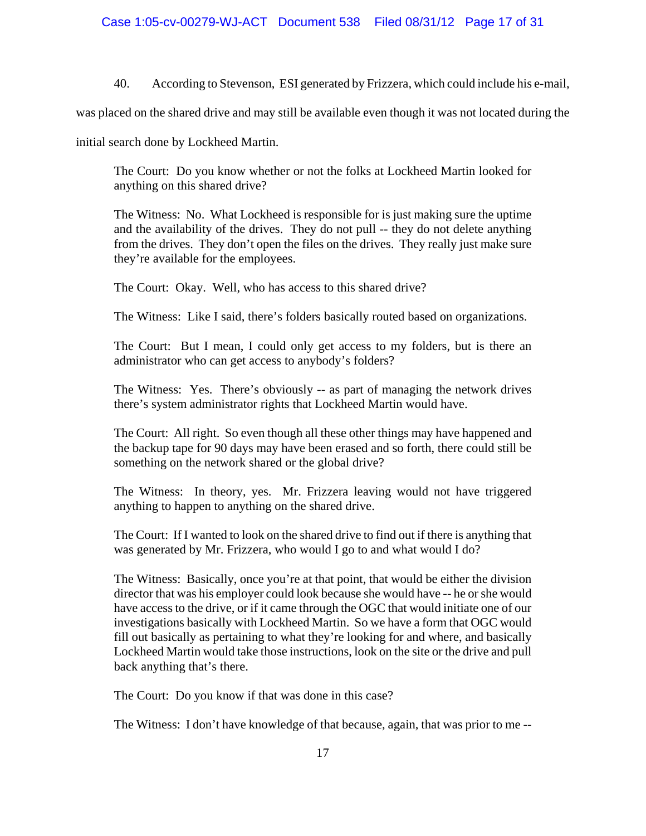40. According to Stevenson, ESI generated by Frizzera, which could include his e-mail,

was placed on the shared drive and may still be available even though it was not located during the

initial search done by Lockheed Martin.

The Court: Do you know whether or not the folks at Lockheed Martin looked for anything on this shared drive?

The Witness: No. What Lockheed is responsible for is just making sure the uptime and the availability of the drives. They do not pull -- they do not delete anything from the drives. They don't open the files on the drives. They really just make sure they're available for the employees.

The Court: Okay. Well, who has access to this shared drive?

The Witness: Like I said, there's folders basically routed based on organizations.

The Court: But I mean, I could only get access to my folders, but is there an administrator who can get access to anybody's folders?

The Witness: Yes. There's obviously -- as part of managing the network drives there's system administrator rights that Lockheed Martin would have.

The Court: All right. So even though all these other things may have happened and the backup tape for 90 days may have been erased and so forth, there could still be something on the network shared or the global drive?

The Witness: In theory, yes. Mr. Frizzera leaving would not have triggered anything to happen to anything on the shared drive.

The Court: If I wanted to look on the shared drive to find out if there is anything that was generated by Mr. Frizzera, who would I go to and what would I do?

The Witness: Basically, once you're at that point, that would be either the division director that was his employer could look because she would have -- he or she would have access to the drive, or if it came through the OGC that would initiate one of our investigations basically with Lockheed Martin. So we have a form that OGC would fill out basically as pertaining to what they're looking for and where, and basically Lockheed Martin would take those instructions, look on the site or the drive and pull back anything that's there.

The Court: Do you know if that was done in this case?

The Witness: I don't have knowledge of that because, again, that was prior to me --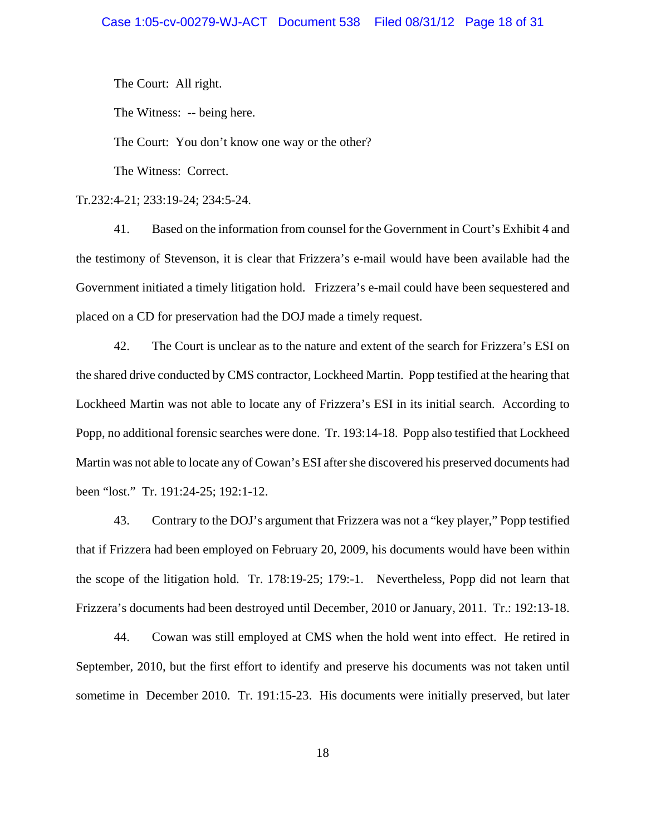The Court: All right.

The Witness: -- being here.

The Court: You don't know one way or the other?

The Witness: Correct.

Tr.232:4-21; 233:19-24; 234:5-24.

41. Based on the information from counsel for the Government in Court's Exhibit 4 and the testimony of Stevenson, it is clear that Frizzera's e-mail would have been available had the Government initiated a timely litigation hold. Frizzera's e-mail could have been sequestered and placed on a CD for preservation had the DOJ made a timely request.

42. The Court is unclear as to the nature and extent of the search for Frizzera's ESI on the shared drive conducted by CMS contractor, Lockheed Martin. Popp testified at the hearing that Lockheed Martin was not able to locate any of Frizzera's ESI in its initial search. According to Popp, no additional forensic searches were done. Tr. 193:14-18. Popp also testified that Lockheed Martin was not able to locate any of Cowan's ESI after she discovered his preserved documents had been "lost." Tr. 191:24-25; 192:1-12.

43. Contrary to the DOJ's argument that Frizzera was not a "key player," Popp testified that if Frizzera had been employed on February 20, 2009, his documents would have been within the scope of the litigation hold. Tr. 178:19-25; 179:-1. Nevertheless, Popp did not learn that Frizzera's documents had been destroyed until December, 2010 or January, 2011. Tr.: 192:13-18.

44. Cowan was still employed at CMS when the hold went into effect. He retired in September, 2010, but the first effort to identify and preserve his documents was not taken until sometime in December 2010. Tr. 191:15-23. His documents were initially preserved, but later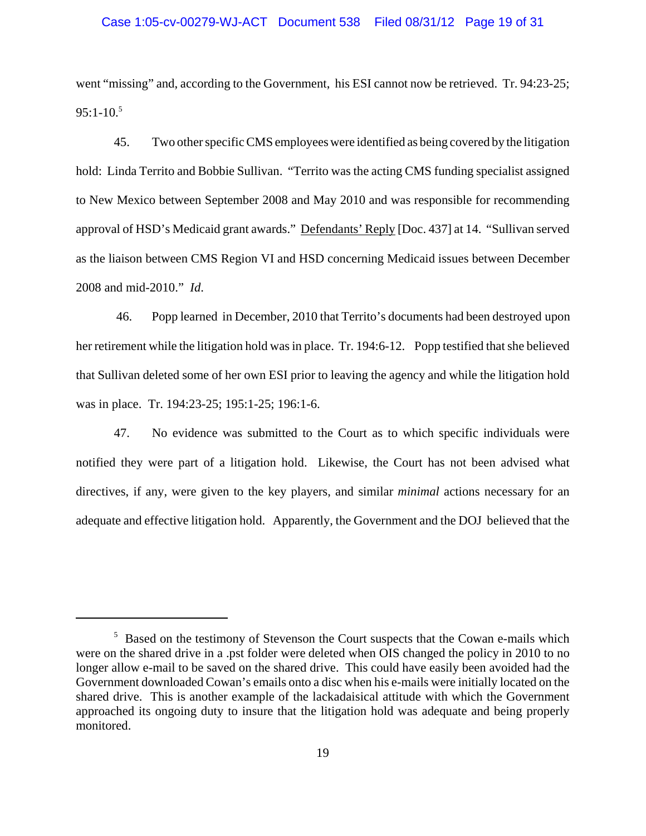#### Case 1:05-cv-00279-WJ-ACT Document 538 Filed 08/31/12 Page 19 of 31

went "missing" and, according to the Government, his ESI cannot now be retrieved. Tr. 94:23-25;  $95:1-10.<sup>5</sup>$ 

45. Two other specific CMS employees were identified as being covered by the litigation hold: Linda Territo and Bobbie Sullivan. "Territo was the acting CMS funding specialist assigned to New Mexico between September 2008 and May 2010 and was responsible for recommending approval of HSD's Medicaid grant awards." Defendants' Reply [Doc. 437] at 14. "Sullivan served as the liaison between CMS Region VI and HSD concerning Medicaid issues between December 2008 and mid-2010." *Id*.

 46. Popp learned in December, 2010 that Territo's documents had been destroyed upon her retirement while the litigation hold was in place. Tr. 194:6-12. Popp testified that she believed that Sullivan deleted some of her own ESI prior to leaving the agency and while the litigation hold was in place. Tr. 194:23-25; 195:1-25; 196:1-6.

47. No evidence was submitted to the Court as to which specific individuals were notified they were part of a litigation hold. Likewise, the Court has not been advised what directives, if any, were given to the key players, and similar *minimal* actions necessary for an adequate and effective litigation hold. Apparently, the Government and the DOJ believed that the

<sup>&</sup>lt;sup>5</sup> Based on the testimony of Stevenson the Court suspects that the Cowan e-mails which were on the shared drive in a .pst folder were deleted when OIS changed the policy in 2010 to no longer allow e-mail to be saved on the shared drive. This could have easily been avoided had the Government downloaded Cowan's emails onto a disc when his e-mails were initially located on the shared drive. This is another example of the lackadaisical attitude with which the Government approached its ongoing duty to insure that the litigation hold was adequate and being properly monitored.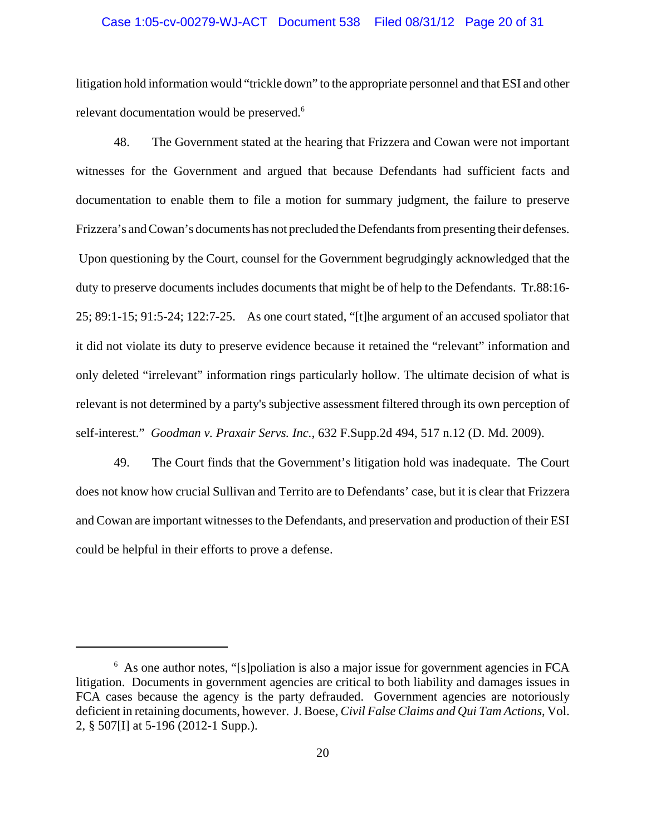#### Case 1:05-cv-00279-WJ-ACT Document 538 Filed 08/31/12 Page 20 of 31

litigation hold information would "trickle down" to the appropriate personnel and that ESI and other relevant documentation would be preserved.<sup>6</sup>

48. The Government stated at the hearing that Frizzera and Cowan were not important witnesses for the Government and argued that because Defendants had sufficient facts and documentation to enable them to file a motion for summary judgment, the failure to preserve Frizzera's and Cowan's documents has not precluded the Defendants from presenting their defenses. Upon questioning by the Court, counsel for the Government begrudgingly acknowledged that the duty to preserve documents includes documents that might be of help to the Defendants. Tr.88:16- 25; 89:1-15; 91:5-24; 122:7-25. As one court stated, "[t]he argument of an accused spoliator that it did not violate its duty to preserve evidence because it retained the "relevant" information and only deleted "irrelevant" information rings particularly hollow. The ultimate decision of what is relevant is not determined by a party's subjective assessment filtered through its own perception of self-interest." *Goodman v. Praxair Servs. Inc.*, 632 F.Supp.2d 494, 517 n.12 (D. Md. 2009).

49. The Court finds that the Government's litigation hold was inadequate. The Court does not know how crucial Sullivan and Territo are to Defendants' case, but it is clear that Frizzera and Cowan are important witnesses to the Defendants, and preservation and production of their ESI could be helpful in their efforts to prove a defense.

<sup>&</sup>lt;sup>6</sup> As one author notes, "[s]poliation is also a major issue for government agencies in FCA litigation. Documents in government agencies are critical to both liability and damages issues in FCA cases because the agency is the party defrauded. Government agencies are notoriously deficient in retaining documents, however. J. Boese, *Civil False Claims and Qui Tam Actions*, Vol. 2, § 507[I] at 5-196 (2012-1 Supp.).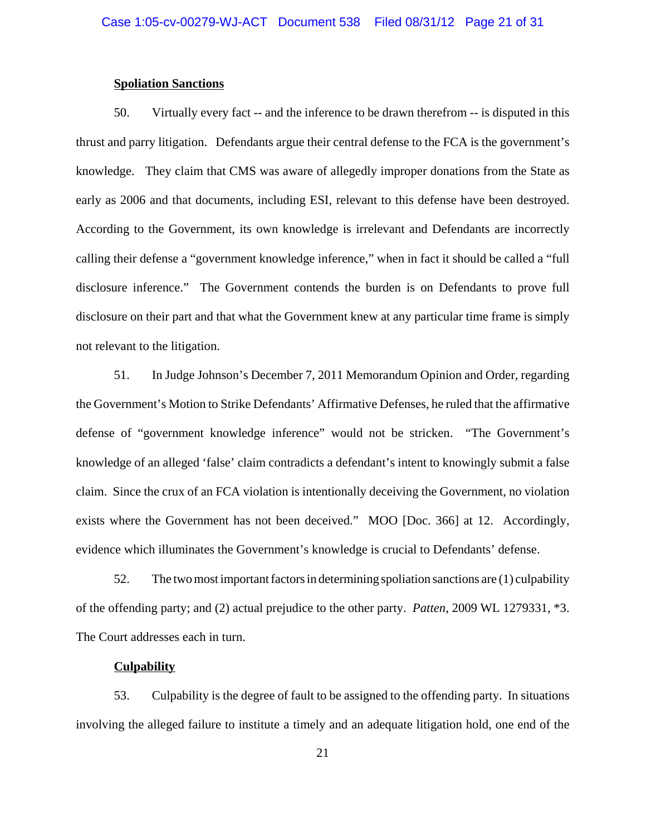### **Spoliation Sanctions**

50. Virtually every fact -- and the inference to be drawn therefrom -- is disputed in this thrust and parry litigation. Defendants argue their central defense to the FCA is the government's knowledge. They claim that CMS was aware of allegedly improper donations from the State as early as 2006 and that documents, including ESI, relevant to this defense have been destroyed. According to the Government, its own knowledge is irrelevant and Defendants are incorrectly calling their defense a "government knowledge inference," when in fact it should be called a "full disclosure inference." The Government contends the burden is on Defendants to prove full disclosure on their part and that what the Government knew at any particular time frame is simply not relevant to the litigation.

51. In Judge Johnson's December 7, 2011 Memorandum Opinion and Order, regarding the Government's Motion to Strike Defendants' Affirmative Defenses, he ruled that the affirmative defense of "government knowledge inference" would not be stricken. "The Government's knowledge of an alleged 'false' claim contradicts a defendant's intent to knowingly submit a false claim. Since the crux of an FCA violation is intentionally deceiving the Government, no violation exists where the Government has not been deceived." MOO [Doc. 366] at 12. Accordingly, evidence which illuminates the Government's knowledge is crucial to Defendants' defense.

52. The two most important factors in determining spoliation sanctions are (1) culpability of the offending party; and (2) actual prejudice to the other party. *Patten*, 2009 WL 1279331, \*3. The Court addresses each in turn.

#### **Culpability**

53. Culpability is the degree of fault to be assigned to the offending party. In situations involving the alleged failure to institute a timely and an adequate litigation hold, one end of the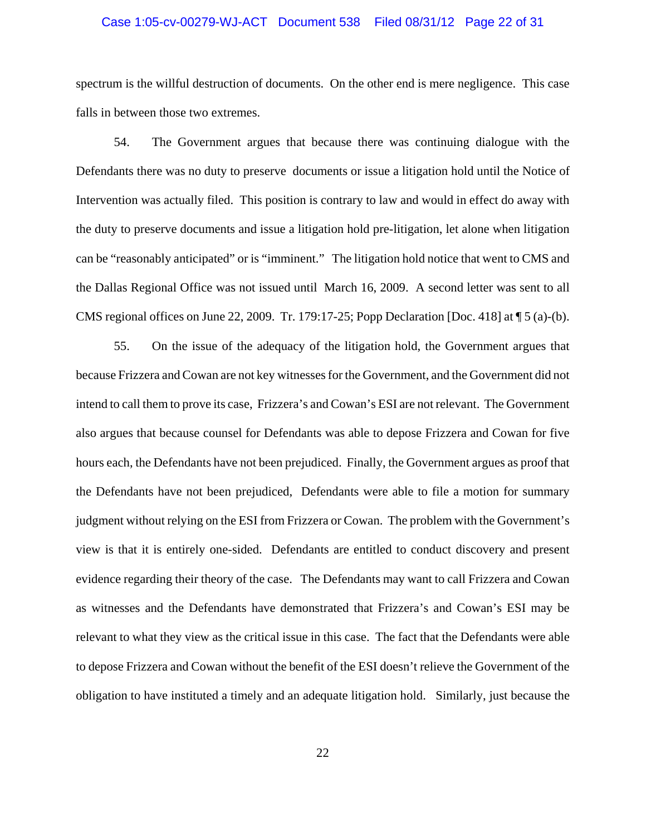#### Case 1:05-cv-00279-WJ-ACT Document 538 Filed 08/31/12 Page 22 of 31

spectrum is the willful destruction of documents. On the other end is mere negligence. This case falls in between those two extremes.

54. The Government argues that because there was continuing dialogue with the Defendants there was no duty to preserve documents or issue a litigation hold until the Notice of Intervention was actually filed. This position is contrary to law and would in effect do away with the duty to preserve documents and issue a litigation hold pre-litigation, let alone when litigation can be "reasonably anticipated" or is "imminent." The litigation hold notice that went to CMS and the Dallas Regional Office was not issued until March 16, 2009. A second letter was sent to all CMS regional offices on June 22, 2009. Tr. 179:17-25; Popp Declaration [Doc. 418] at ¶ 5 (a)-(b).

55. On the issue of the adequacy of the litigation hold, the Government argues that because Frizzera and Cowan are not key witnesses for the Government, and the Government did not intend to call them to prove its case, Frizzera's and Cowan's ESI are not relevant. The Government also argues that because counsel for Defendants was able to depose Frizzera and Cowan for five hours each, the Defendants have not been prejudiced. Finally, the Government argues as proof that the Defendants have not been prejudiced, Defendants were able to file a motion for summary judgment without relying on the ESI from Frizzera or Cowan. The problem with the Government's view is that it is entirely one-sided. Defendants are entitled to conduct discovery and present evidence regarding their theory of the case. The Defendants may want to call Frizzera and Cowan as witnesses and the Defendants have demonstrated that Frizzera's and Cowan's ESI may be relevant to what they view as the critical issue in this case. The fact that the Defendants were able to depose Frizzera and Cowan without the benefit of the ESI doesn't relieve the Government of the obligation to have instituted a timely and an adequate litigation hold. Similarly, just because the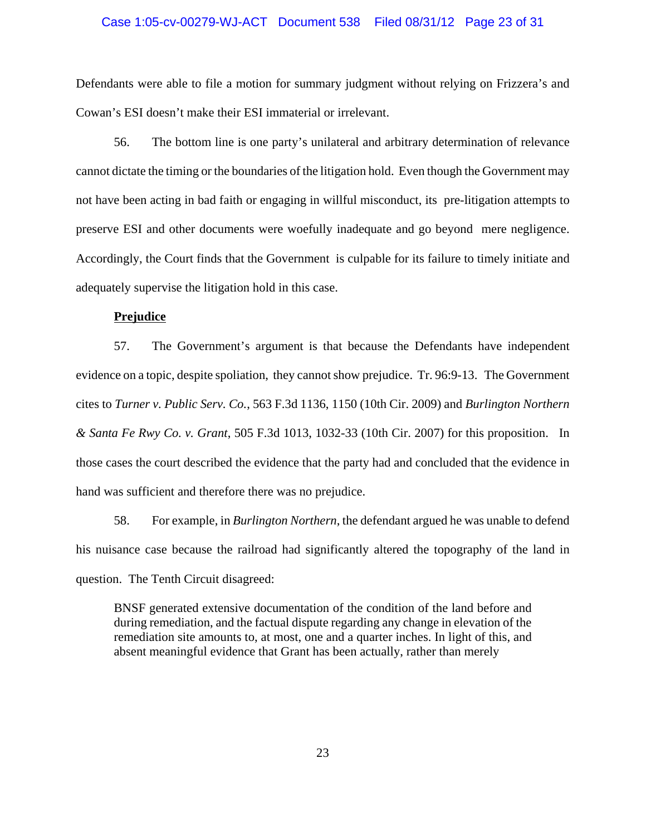#### Case 1:05-cv-00279-WJ-ACT Document 538 Filed 08/31/12 Page 23 of 31

Defendants were able to file a motion for summary judgment without relying on Frizzera's and Cowan's ESI doesn't make their ESI immaterial or irrelevant.

56. The bottom line is one party's unilateral and arbitrary determination of relevance cannot dictate the timing or the boundaries of the litigation hold. Even though the Government may not have been acting in bad faith or engaging in willful misconduct, its pre-litigation attempts to preserve ESI and other documents were woefully inadequate and go beyond mere negligence. Accordingly, the Court finds that the Government is culpable for its failure to timely initiate and adequately supervise the litigation hold in this case.

#### **Prejudice**

57. The Government's argument is that because the Defendants have independent evidence on a topic, despite spoliation, they cannot show prejudice. Tr. 96:9-13. The Government cites to *Turner v. Public Serv. Co.*, 563 F.3d 1136, 1150 (10th Cir. 2009) and *Burlington Northern & Santa Fe Rwy Co. v. Grant*, 505 F.3d 1013, 1032-33 (10th Cir. 2007) for this proposition. In those cases the court described the evidence that the party had and concluded that the evidence in hand was sufficient and therefore there was no prejudice.

58. For example, in *Burlington Northern*, the defendant argued he was unable to defend his nuisance case because the railroad had significantly altered the topography of the land in question. The Tenth Circuit disagreed:

BNSF generated extensive documentation of the condition of the land before and during remediation, and the factual dispute regarding any change in elevation of the remediation site amounts to, at most, one and a quarter inches. In light of this, and absent meaningful evidence that Grant has been actually, rather than merely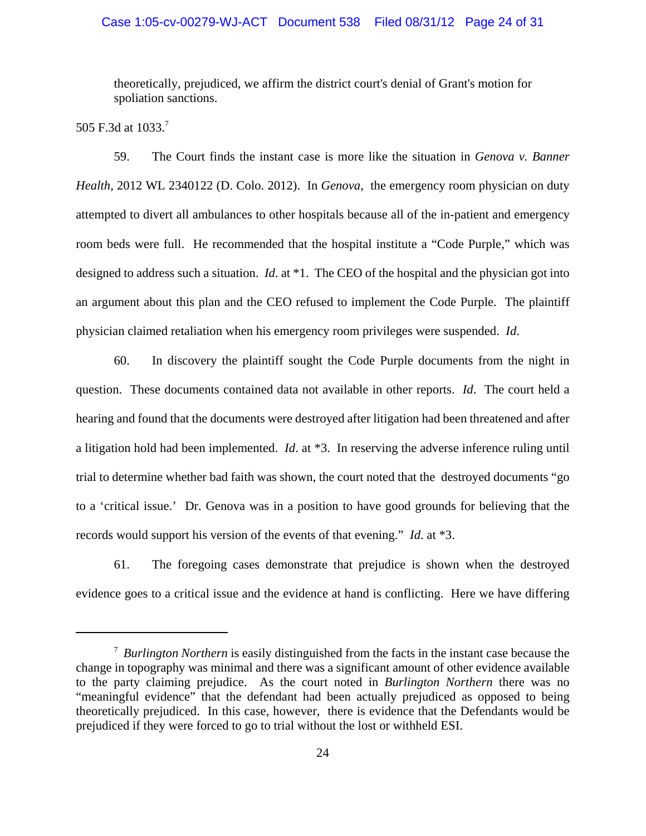### Case 1:05-cv-00279-WJ-ACT Document 538 Filed 08/31/12 Page 24 of 31

theoretically, prejudiced, we affirm the district court's denial of Grant's motion for spoliation sanctions.

505 F.3d at 1033.<sup>7</sup>

59. The Court finds the instant case is more like the situation in *Genova v. Banner Health*, 2012 WL 2340122 (D. Colo. 2012). In *Genova*, the emergency room physician on duty attempted to divert all ambulances to other hospitals because all of the in-patient and emergency room beds were full. He recommended that the hospital institute a "Code Purple," which was designed to address such a situation. *Id*. at \*1. The CEO of the hospital and the physician got into an argument about this plan and the CEO refused to implement the Code Purple. The plaintiff physician claimed retaliation when his emergency room privileges were suspended. *Id*.

60. In discovery the plaintiff sought the Code Purple documents from the night in question. These documents contained data not available in other reports. *Id*. The court held a hearing and found that the documents were destroyed after litigation had been threatened and after a litigation hold had been implemented. *Id*. at \*3. In reserving the adverse inference ruling until trial to determine whether bad faith was shown, the court noted that the destroyed documents "go to a 'critical issue.' Dr. Genova was in a position to have good grounds for believing that the records would support his version of the events of that evening." *Id*. at \*3.

61. The foregoing cases demonstrate that prejudice is shown when the destroyed evidence goes to a critical issue and the evidence at hand is conflicting. Here we have differing

<sup>7</sup> *Burlington Northern* is easily distinguished from the facts in the instant case because the change in topography was minimal and there was a significant amount of other evidence available to the party claiming prejudice. As the court noted in *Burlington Northern* there was no "meaningful evidence" that the defendant had been actually prejudiced as opposed to being theoretically prejudiced. In this case, however, there is evidence that the Defendants would be prejudiced if they were forced to go to trial without the lost or withheld ESI.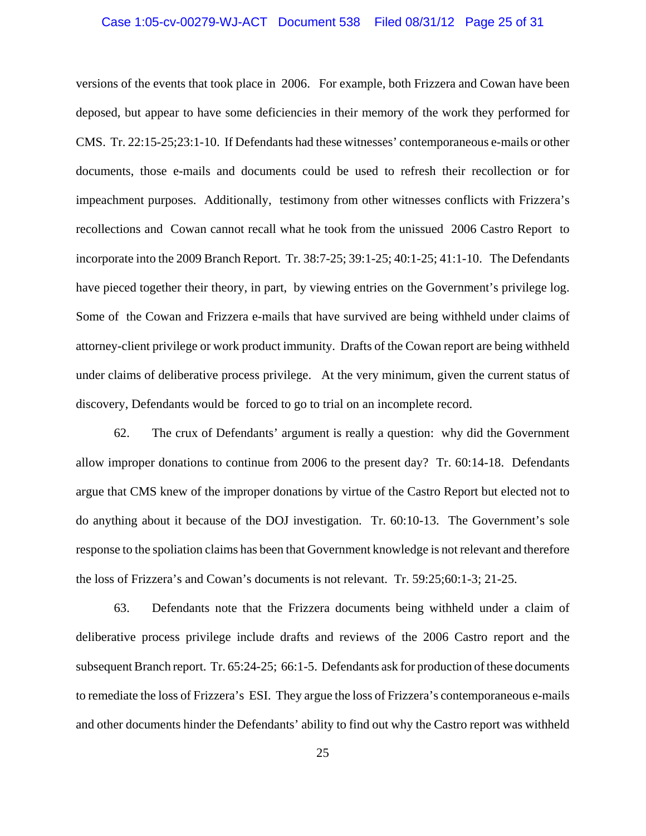#### Case 1:05-cv-00279-WJ-ACT Document 538 Filed 08/31/12 Page 25 of 31

versions of the events that took place in 2006. For example, both Frizzera and Cowan have been deposed, but appear to have some deficiencies in their memory of the work they performed for CMS. Tr. 22:15-25;23:1-10. If Defendants had these witnesses' contemporaneous e-mails or other documents, those e-mails and documents could be used to refresh their recollection or for impeachment purposes. Additionally, testimony from other witnesses conflicts with Frizzera's recollections and Cowan cannot recall what he took from the unissued 2006 Castro Report to incorporate into the 2009 Branch Report. Tr. 38:7-25; 39:1-25; 40:1-25; 41:1-10. The Defendants have pieced together their theory, in part, by viewing entries on the Government's privilege log. Some of the Cowan and Frizzera e-mails that have survived are being withheld under claims of attorney-client privilege or work product immunity. Drafts of the Cowan report are being withheld under claims of deliberative process privilege. At the very minimum, given the current status of discovery, Defendants would be forced to go to trial on an incomplete record.

62. The crux of Defendants' argument is really a question: why did the Government allow improper donations to continue from 2006 to the present day? Tr. 60:14-18. Defendants argue that CMS knew of the improper donations by virtue of the Castro Report but elected not to do anything about it because of the DOJ investigation. Tr. 60:10-13. The Government's sole response to the spoliation claims has been that Government knowledge is not relevant and therefore the loss of Frizzera's and Cowan's documents is not relevant. Tr. 59:25;60:1-3; 21-25.

63. Defendants note that the Frizzera documents being withheld under a claim of deliberative process privilege include drafts and reviews of the 2006 Castro report and the subsequent Branch report. Tr. 65:24-25; 66:1-5. Defendants ask for production of these documents to remediate the loss of Frizzera's ESI. They argue the loss of Frizzera's contemporaneous e-mails and other documents hinder the Defendants' ability to find out why the Castro report was withheld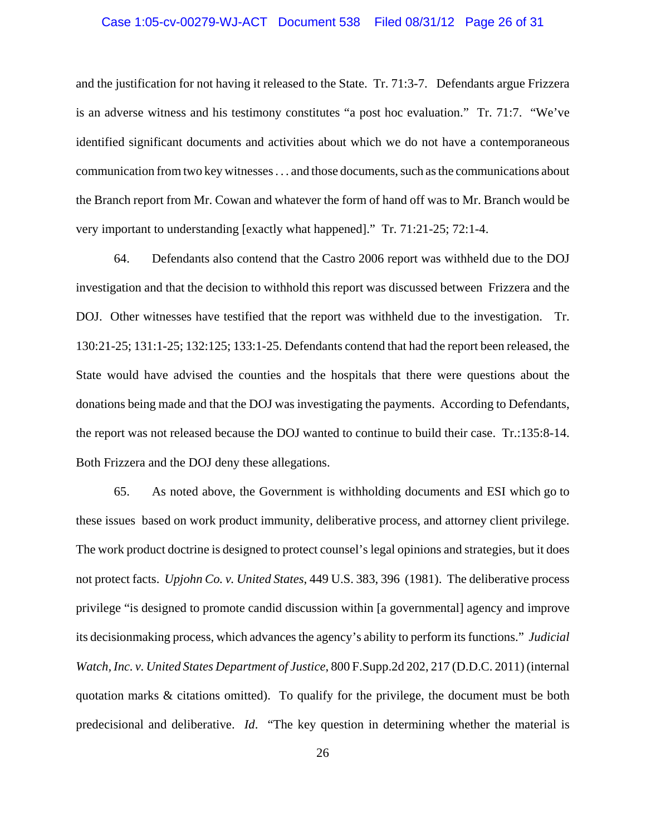#### Case 1:05-cv-00279-WJ-ACT Document 538 Filed 08/31/12 Page 26 of 31

and the justification for not having it released to the State. Tr. 71:3-7. Defendants argue Frizzera is an adverse witness and his testimony constitutes "a post hoc evaluation." Tr. 71:7. "We've identified significant documents and activities about which we do not have a contemporaneous communication from two key witnesses . . . and those documents, such as the communications about the Branch report from Mr. Cowan and whatever the form of hand off was to Mr. Branch would be very important to understanding [exactly what happened]." Tr. 71:21-25; 72:1-4.

64. Defendants also contend that the Castro 2006 report was withheld due to the DOJ investigation and that the decision to withhold this report was discussed between Frizzera and the DOJ. Other witnesses have testified that the report was withheld due to the investigation. Tr. 130:21-25; 131:1-25; 132:125; 133:1-25. Defendants contend that had the report been released, the State would have advised the counties and the hospitals that there were questions about the donations being made and that the DOJ was investigating the payments. According to Defendants, the report was not released because the DOJ wanted to continue to build their case. Tr.:135:8-14. Both Frizzera and the DOJ deny these allegations.

65. As noted above, the Government is withholding documents and ESI which go to these issues based on work product immunity, deliberative process, and attorney client privilege. The work product doctrine is designed to protect counsel's legal opinions and strategies, but it does not protect facts. *Upjohn Co. v. United States*, 449 U.S. 383, 396 (1981). The deliberative process privilege "is designed to promote candid discussion within [a governmental] agency and improve its decisionmaking process, which advances the agency's ability to perform its functions." *Judicial Watch, Inc. v. United States Department of Justice*, 800 F.Supp.2d 202, 217 (D.D.C. 2011) (internal quotation marks & citations omitted). To qualify for the privilege, the document must be both predecisional and deliberative. *Id*. "The key question in determining whether the material is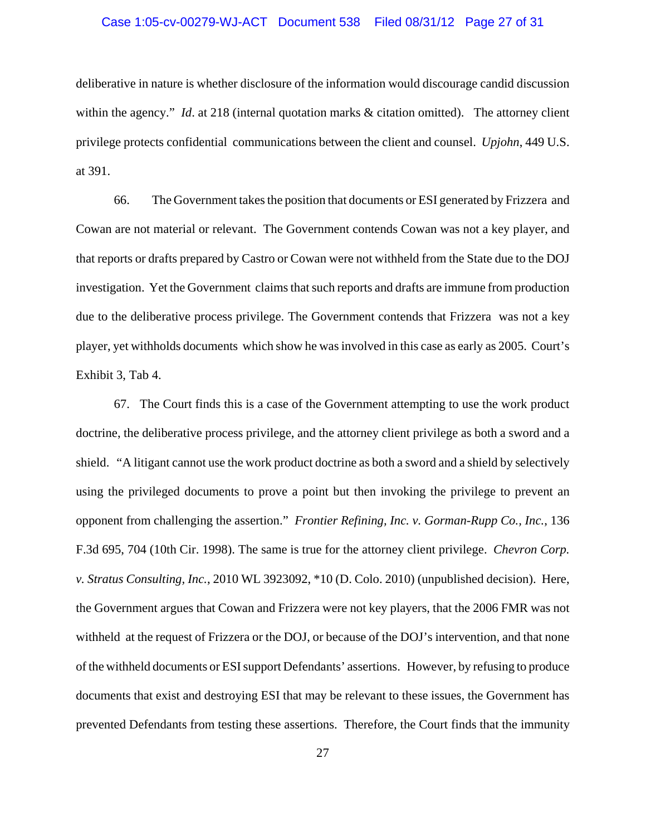#### Case 1:05-cv-00279-WJ-ACT Document 538 Filed 08/31/12 Page 27 of 31

deliberative in nature is whether disclosure of the information would discourage candid discussion within the agency." *Id.* at 218 (internal quotation marks & citation omitted). The attorney client privilege protects confidential communications between the client and counsel. *Upjohn*, 449 U.S. at 391.

66. The Government takes the position that documents or ESI generated by Frizzera and Cowan are not material or relevant. The Government contends Cowan was not a key player, and that reports or drafts prepared by Castro or Cowan were not withheld from the State due to the DOJ investigation. Yet the Government claims that such reports and drafts are immune from production due to the deliberative process privilege. The Government contends that Frizzera was not a key player, yet withholds documents which show he was involved in this case as early as 2005. Court's Exhibit 3, Tab 4.

67. The Court finds this is a case of the Government attempting to use the work product doctrine, the deliberative process privilege, and the attorney client privilege as both a sword and a shield. "A litigant cannot use the work product doctrine as both a sword and a shield by selectively using the privileged documents to prove a point but then invoking the privilege to prevent an opponent from challenging the assertion." *Frontier Refining, Inc. v. Gorman-Rupp Co., Inc.*, 136 F.3d 695, 704 (10th Cir. 1998). The same is true for the attorney client privilege. *Chevron Corp. v. Stratus Consulting, Inc.*, 2010 WL 3923092, \*10 (D. Colo. 2010) (unpublished decision). Here, the Government argues that Cowan and Frizzera were not key players, that the 2006 FMR was not withheld at the request of Frizzera or the DOJ, or because of the DOJ's intervention, and that none of the withheld documents or ESI support Defendants' assertions. However, by refusing to produce documents that exist and destroying ESI that may be relevant to these issues, the Government has prevented Defendants from testing these assertions. Therefore, the Court finds that the immunity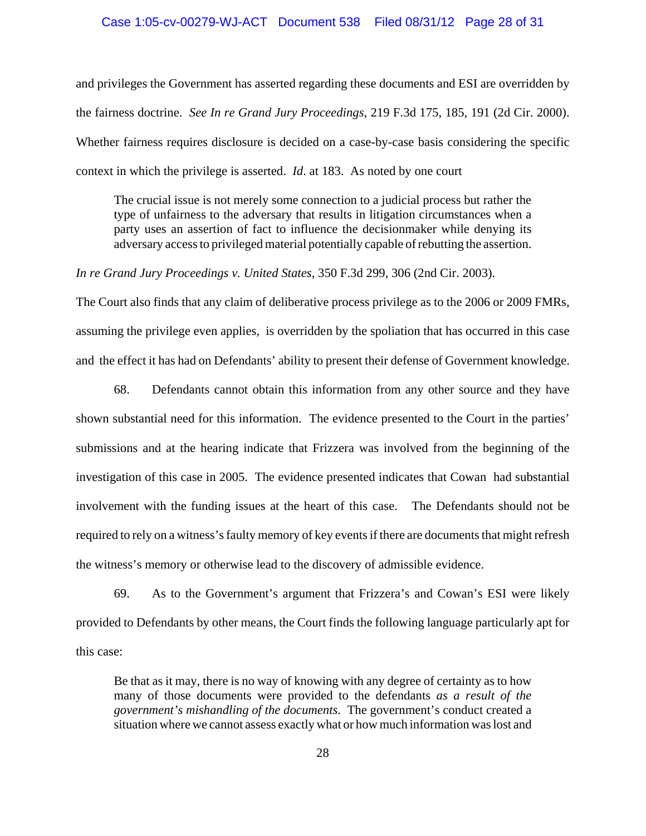#### Case 1:05-cv-00279-WJ-ACT Document 538 Filed 08/31/12 Page 28 of 31

and privileges the Government has asserted regarding these documents and ESI are overridden by the fairness doctrine. *See In re Grand Jury Proceedings*, 219 F.3d 175, 185, 191 (2d Cir. 2000). Whether fairness requires disclosure is decided on a case-by-case basis considering the specific context in which the privilege is asserted. *Id*. at 183. As noted by one court

The crucial issue is not merely some connection to a judicial process but rather the type of unfairness to the adversary that results in litigation circumstances when a party uses an assertion of fact to influence the decisionmaker while denying its adversary access to privileged material potentially capable of rebutting the assertion.

*In re Grand Jury Proceedings v. United States*, 350 F.3d 299, 306 (2nd Cir. 2003).

The Court also finds that any claim of deliberative process privilege as to the 2006 or 2009 FMRs, assuming the privilege even applies, is overridden by the spoliation that has occurred in this case and the effect it has had on Defendants' ability to present their defense of Government knowledge.

68. Defendants cannot obtain this information from any other source and they have shown substantial need for this information. The evidence presented to the Court in the parties' submissions and at the hearing indicate that Frizzera was involved from the beginning of the investigation of this case in 2005. The evidence presented indicates that Cowan had substantial involvement with the funding issues at the heart of this case. The Defendants should not be required to rely on a witness's faulty memory of key events if there are documents that might refresh the witness's memory or otherwise lead to the discovery of admissible evidence.

69. As to the Government's argument that Frizzera's and Cowan's ESI were likely provided to Defendants by other means, the Court finds the following language particularly apt for this case:

Be that as it may, there is no way of knowing with any degree of certainty as to how many of those documents were provided to the defendants *as a result of the government's mishandling of the documents*. The government's conduct created a situation where we cannot assess exactly what or how much information was lost and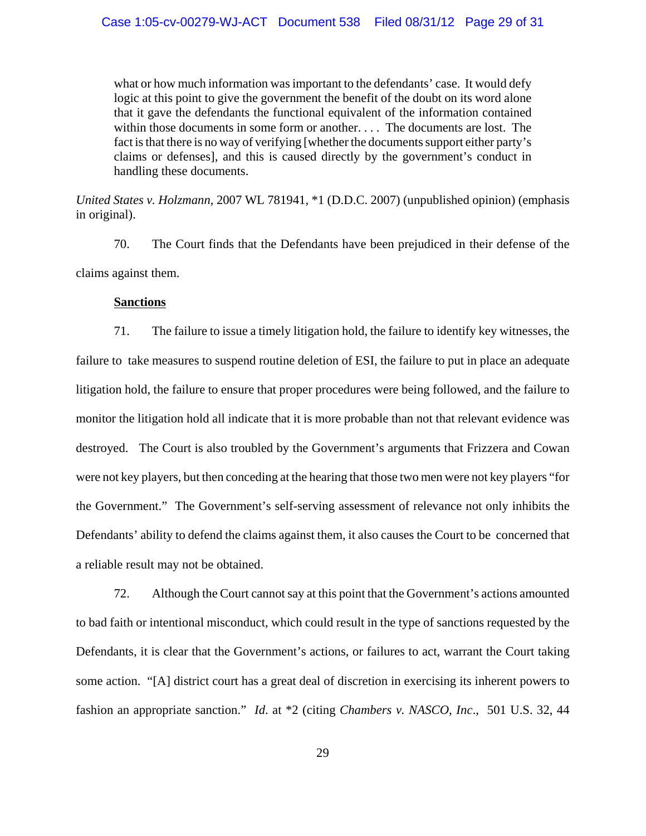what or how much information was important to the defendants' case. It would defy logic at this point to give the government the benefit of the doubt on its word alone that it gave the defendants the functional equivalent of the information contained within those documents in some form or another. . . . The documents are lost. The fact is that there is no way of verifying [whether the documents support either party's claims or defenses], and this is caused directly by the government's conduct in handling these documents.

*United States v. Holzmann*, 2007 WL 781941, \*1 (D.D.C. 2007) (unpublished opinion) (emphasis in original).

70. The Court finds that the Defendants have been prejudiced in their defense of the claims against them.

### **Sanctions**

71. The failure to issue a timely litigation hold, the failure to identify key witnesses, the failure to take measures to suspend routine deletion of ESI, the failure to put in place an adequate litigation hold, the failure to ensure that proper procedures were being followed, and the failure to monitor the litigation hold all indicate that it is more probable than not that relevant evidence was destroyed. The Court is also troubled by the Government's arguments that Frizzera and Cowan were not key players, but then conceding at the hearing that those two men were not key players "for the Government." The Government's self-serving assessment of relevance not only inhibits the Defendants' ability to defend the claims against them, it also causes the Court to be concerned that a reliable result may not be obtained.

72. Although the Court cannot say at this point that the Government's actions amounted to bad faith or intentional misconduct, which could result in the type of sanctions requested by the Defendants, it is clear that the Government's actions, or failures to act, warrant the Court taking some action. "[A] district court has a great deal of discretion in exercising its inherent powers to fashion an appropriate sanction." *Id*. at \*2 (citing *Chambers v. NASCO, Inc*., 501 U.S. 32, 44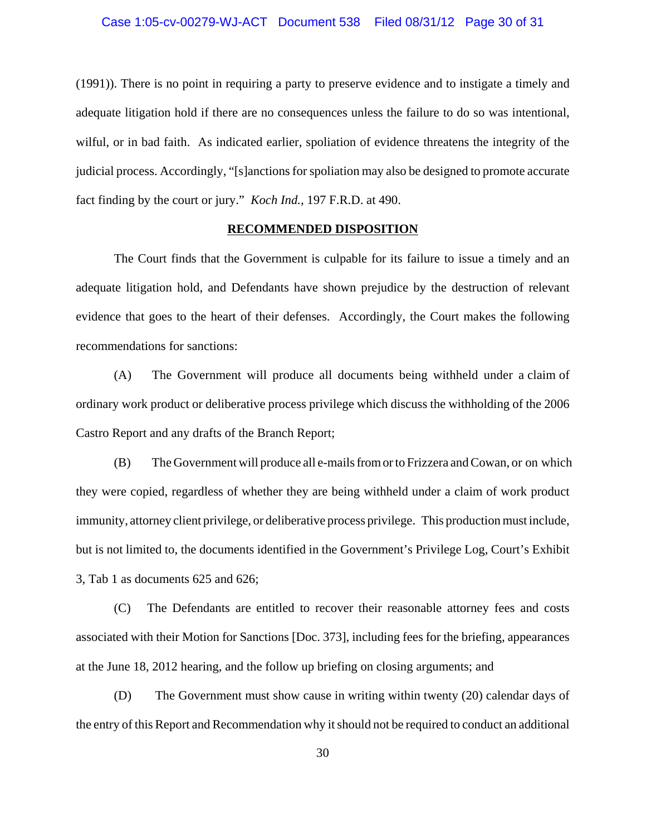(1991)). There is no point in requiring a party to preserve evidence and to instigate a timely and adequate litigation hold if there are no consequences unless the failure to do so was intentional, wilful, or in bad faith. As indicated earlier, spoliation of evidence threatens the integrity of the judicial process. Accordingly, "[s]anctions for spoliation may also be designed to promote accurate fact finding by the court or jury." *Koch Ind.,* 197 F.R.D. at 490.

#### **RECOMMENDED DISPOSITION**

The Court finds that the Government is culpable for its failure to issue a timely and an adequate litigation hold, and Defendants have shown prejudice by the destruction of relevant evidence that goes to the heart of their defenses. Accordingly, the Court makes the following recommendations for sanctions:

(A) The Government will produce all documents being withheld under a claim of ordinary work product or deliberative process privilege which discuss the withholding of the 2006 Castro Report and any drafts of the Branch Report;

(B) The Government will produce all e-mails from or to Frizzera and Cowan, or on which they were copied, regardless of whether they are being withheld under a claim of work product immunity, attorney client privilege, or deliberative process privilege. This production must include, but is not limited to, the documents identified in the Government's Privilege Log, Court's Exhibit 3, Tab 1 as documents 625 and 626;

(C) The Defendants are entitled to recover their reasonable attorney fees and costs associated with their Motion for Sanctions [Doc. 373], including fees for the briefing, appearances at the June 18, 2012 hearing, and the follow up briefing on closing arguments; and

(D) The Government must show cause in writing within twenty (20) calendar days of the entry of this Report and Recommendation why it should not be required to conduct an additional